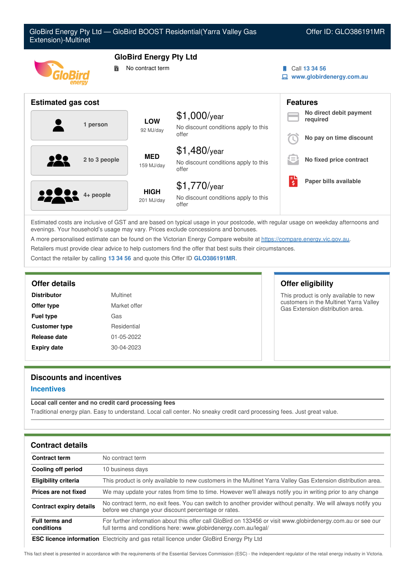| GloBird Energy Pty Ltd - GloBird BOOST Residential (Yarra Valley Gas<br>Offer ID: GLO386191MR<br>Extension)-Multinet |                           |                                                                 |                                     |                                                                |
|----------------------------------------------------------------------------------------------------------------------|---------------------------|-----------------------------------------------------------------|-------------------------------------|----------------------------------------------------------------|
| <b>GloBird Energy Pty Ltd</b><br>No contract term<br>鬜                                                               |                           |                                                                 |                                     | Call 13 34 56<br>www.globirdenergy.com.au                      |
| <b>Estimated gas cost</b>                                                                                            |                           |                                                                 |                                     | <b>Features</b>                                                |
| 1 person                                                                                                             | <b>LOW</b><br>92 MJ/day   | $$1,000$ /year<br>No discount conditions apply to this<br>offer |                                     | No direct debit payment<br>required<br>No pay on time discount |
| 2 to 3 people                                                                                                        | <b>MED</b><br>159 MJ/day  | $$1,480$ /year<br>No discount conditions apply to this<br>offer |                                     | No fixed price contract                                        |
| 4+ people                                                                                                            | <b>HIGH</b><br>201 MJ/day | \$1,770/year<br>No discount conditions apply to this<br>offer   | Еι<br>$\overline{\boldsymbol{\xi}}$ | Paper bills available                                          |

Estimated costs are inclusive of GST and are based on typical usage in your postcode, with regular usage on weekday afternoons and evenings. Your household's usage may vary. Prices exclude concessions and bonuses.

A more personalised estimate can be found on the Victorian Energy Compare website at <https://compare.energy.vic.gov.au>.

Retailers must provide clear advice to help customers find the offer that best suits their circumstances.

Contact the retailer by calling **13 34 56** and quote this Offer ID **GLO386191MR**.

| <b>Distributor</b>   | Multinet         |
|----------------------|------------------|
| Offer type           | Market offer     |
| <b>Fuel type</b>     | Gas              |
| <b>Customer type</b> | Residential      |
| Release date         | 01-05-2022       |
| <b>Expiry date</b>   | $30 - 04 - 2023$ |

# **Offer details Offer eligibility**

This product is only available to new customers in the Multinet Yarra Valley Gas Extension distribution area.

# **Discounts and incentives**

## **Incentives**

## **Local call center and no credit card processing fees**

Traditional energy plan. Easy to understand. Local call center. No sneaky credit card processing fees. Just great value.

| <b>Contract details</b>             |                                                                                                                                                                                 |
|-------------------------------------|---------------------------------------------------------------------------------------------------------------------------------------------------------------------------------|
| <b>Contract term</b>                | No contract term                                                                                                                                                                |
| Cooling off period                  | 10 business days                                                                                                                                                                |
| <b>Eligibility criteria</b>         | This product is only available to new customers in the Multinet Yarra Valley Gas Extension distribution area.                                                                   |
| Prices are not fixed                | We may update your rates from time to time. However we'll always notify you in writing prior to any change                                                                      |
| <b>Contract expiry details</b>      | No contract term, no exit fees. You can switch to another provider without penalty. We will always notify you<br>before we change your discount percentage or rates.            |
| <b>Full terms and</b><br>conditions | For further information about this offer call GloBird on 133456 or visit www.globirdenergy.com.au or see our<br>full terms and conditions here: www.globirdenergy.com.au/legal/ |
|                                     | FOO Heaves Information. Flachfelb: and see votal licence under OleDird Freewy Dhyl td.                                                                                          |

**ESC licence information** Electricity and gas retail licence under GloBird Energy Pty Ltd

This fact sheet is presented in accordance with the requirements of the Essential Services Commission (ESC) - the independent regulator of the retail energy industry in Victoria.